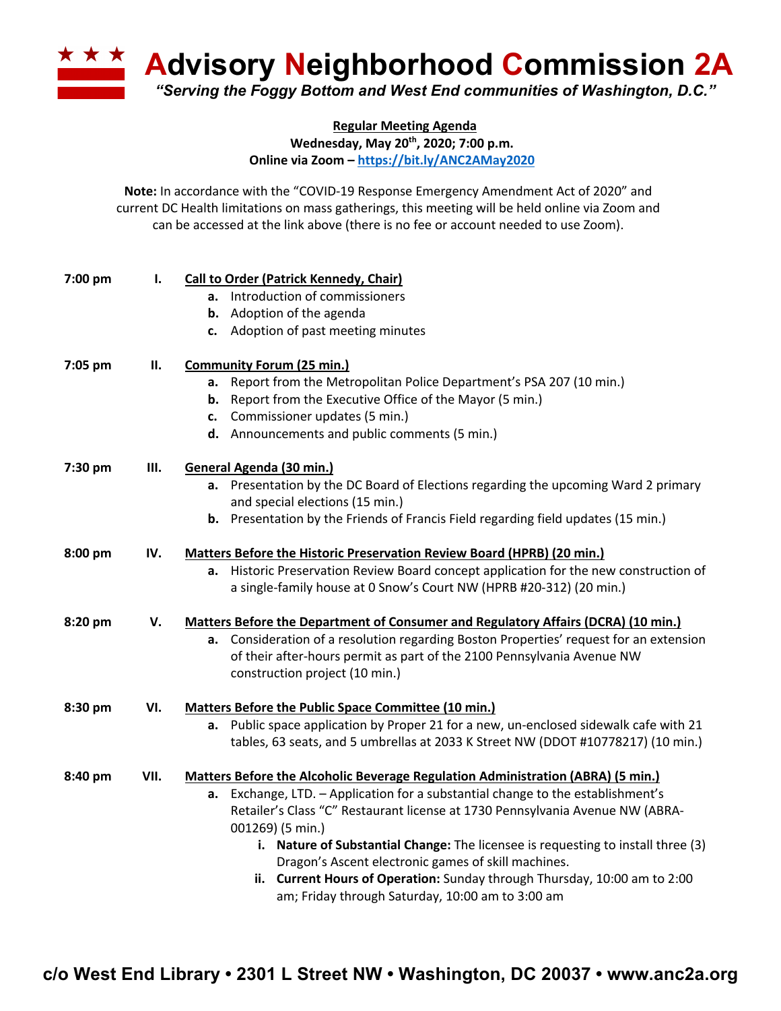**A Advisory Neighborhood Commission 2A** *"Serving the Foggy Bottom and West End communities of Washington, D.C."*

**Regular Meeting Agenda**

**Wednesday, May 20th, 2020; 7:00 p.m.**

**Online via Zoom – https://bit.ly/ANC2AMay2020**

**Note:** In accordance with the "COVID-19 Response Emergency Amendment Act of 2020" and current DC Health limitations on mass gatherings, this meeting will be held online via Zoom and can be accessed at the link above (there is no fee or account needed to use Zoom).

| 7:00 pm | Ι.   | <b>Call to Order (Patrick Kennedy, Chair)</b>                                            |  |  |
|---------|------|------------------------------------------------------------------------------------------|--|--|
|         |      | a. Introduction of commissioners                                                         |  |  |
|         |      | <b>b.</b> Adoption of the agenda                                                         |  |  |
|         |      | c. Adoption of past meeting minutes                                                      |  |  |
| 7:05 pm | П.   | <b>Community Forum (25 min.)</b>                                                         |  |  |
|         |      | Report from the Metropolitan Police Department's PSA 207 (10 min.)<br>а.                 |  |  |
|         |      | <b>b.</b> Report from the Executive Office of the Mayor (5 min.)                         |  |  |
|         |      | c. Commissioner updates (5 min.)                                                         |  |  |
|         |      | d. Announcements and public comments (5 min.)                                            |  |  |
| 7:30 pm | Ш.   | General Agenda (30 min.)                                                                 |  |  |
|         |      | a. Presentation by the DC Board of Elections regarding the upcoming Ward 2 primary       |  |  |
|         |      | and special elections (15 min.)                                                          |  |  |
|         |      | Presentation by the Friends of Francis Field regarding field updates (15 min.)<br>b.     |  |  |
| 8:00 pm | IV.  | <b>Matters Before the Historic Preservation Review Board (HPRB) (20 min.)</b>            |  |  |
|         |      | Historic Preservation Review Board concept application for the new construction of<br>a. |  |  |
|         |      | a single-family house at 0 Snow's Court NW (HPRB #20-312) (20 min.)                      |  |  |
| 8:20 pm | V.   | <b>Matters Before the Department of Consumer and Regulatory Affairs (DCRA) (10 min.)</b> |  |  |
|         |      | a. Consideration of a resolution regarding Boston Properties' request for an extension   |  |  |
|         |      | of their after-hours permit as part of the 2100 Pennsylvania Avenue NW                   |  |  |
|         |      | construction project (10 min.)                                                           |  |  |
| 8:30 pm | VI.  | Matters Before the Public Space Committee (10 min.)                                      |  |  |
|         |      | a. Public space application by Proper 21 for a new, un-enclosed sidewalk cafe with 21    |  |  |
|         |      | tables, 63 seats, and 5 umbrellas at 2033 K Street NW (DDOT #10778217) (10 min.)         |  |  |
| 8:40 pm | VII. | Matters Before the Alcoholic Beverage Regulation Administration (ABRA) (5 min.)          |  |  |
|         |      | Exchange, LTD. - Application for a substantial change to the establishment's<br>a.       |  |  |
|         |      | Retailer's Class "C" Restaurant license at 1730 Pennsylvania Avenue NW (ABRA-            |  |  |
|         |      | 001269) (5 min.)                                                                         |  |  |
|         |      | i. Nature of Substantial Change: The licensee is requesting to install three (3)         |  |  |
|         |      | Dragon's Ascent electronic games of skill machines.                                      |  |  |
|         |      | ii. Current Hours of Operation: Sunday through Thursday, 10:00 am to 2:00                |  |  |
|         |      | am; Friday through Saturday, 10:00 am to 3:00 am                                         |  |  |
|         |      |                                                                                          |  |  |